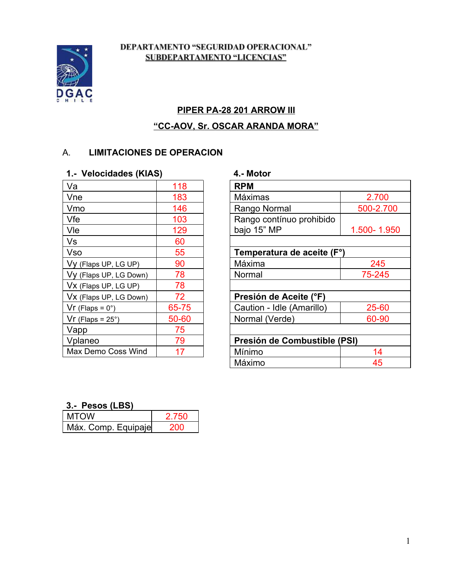#### DEPARTAMENTO "SEGURIDAD OPERACIONAL" **SUBDEPARTAMENTO "LICENCIAS"**

### **PIPER PA28 201 ARROW III**

## **"CCAOV, Sr. OSCAR ARANDA MORA"**

### A. **LIMITACIONES DE OPERACION**

#### **1. Velocidades (KIAS) 4. Motor**

| 118   | <b>RPM</b>                   |
|-------|------------------------------|
| 183   | Máximas                      |
| 146   | Rango Normal                 |
| 103   | Rango contínuo prohibido     |
| 129   | bajo 15" MP<br>1.            |
| 60    |                              |
| 55    | Temperatura de aceite (F°)   |
| 90    | Máxima                       |
| 78    | Normal                       |
| 78    |                              |
| 72    | Presión de Aceite (°F)       |
| 65-75 | Caution - Idle (Amarillo)    |
| 50-60 | Normal (Verde)               |
| 75    |                              |
| 79    | Presión de Combustible (PSI) |
| 17    | Mínimo                       |
|       |                              |

| Va                     | 118   | <b>RPM</b>                   |             |
|------------------------|-------|------------------------------|-------------|
| Vne                    | 183   | Máximas                      | 2.700       |
| Vmo                    | 146   | Rango Normal                 | 500-2.700   |
| Vfe                    | 103   | Rango contínuo prohibido     |             |
| Vle                    | 129   | bajo 15" MP                  | 1.500-1.950 |
| Vs                     | 60    |                              |             |
| Vso                    | 55    | Temperatura de aceite (F°)   |             |
| Vy (Flaps UP, LG UP)   | 90    | Máxima                       | 245         |
| Vy (Flaps UP, LG Down) | 78    | Normal                       | 75-245      |
| Vx (Flaps UP, LG UP)   | 78    |                              |             |
| Vx (Flaps UP, LG Down) | 72    | Presión de Aceite (°F)       |             |
| $Vr$ (Flaps = 0°)      | 65-75 | Caution - Idle (Amarillo)    | 25-60       |
| $Vr$ (Flaps = 25°)     | 50-60 | Normal (Verde)               | 60-90       |
| Vapp                   | 75    |                              |             |
| Vplaneo                | 79    | Presión de Combustible (PSI) |             |
| Max Demo Coss Wind     | 17    | Mínimo                       | 14          |
|                        |       | Máximo                       | 45          |

#### **3. Pesos (LBS)**

| <b>MTOW</b>         | 2 750 |
|---------------------|-------|
| Máx. Comp. Equipaje | 200   |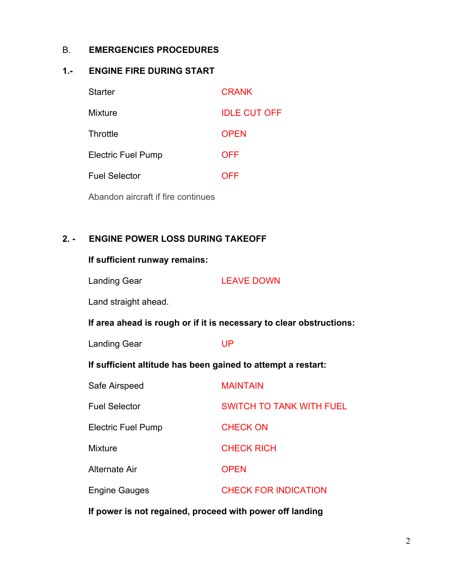#### B. **EMERGENCIES PROCEDURES**

#### **1. ENGINE FIRE DURING START**

| <b>Starter</b>                     | <b>CRANK</b>        |
|------------------------------------|---------------------|
| <b>Mixture</b>                     | <b>IDLE CUT OFF</b> |
| Throttle                           | <b>OPEN</b>         |
| <b>Electric Fuel Pump</b>          | <b>OFF</b>          |
| <b>Fuel Selector</b>               | <b>OFF</b>          |
| Abandon aircraft if fire continues |                     |

#### **2. ENGINE POWER LOSS DURING TAKEOFF**

#### **If sufficient runway remains:**

Landing Gear LEAVE DOWN

Land straight ahead.

**If area ahead is rough or if it is necessary to clear obstructions:**

| <b>Landing Gear</b> |  | UP |
|---------------------|--|----|
|                     |  |    |

#### **If sufficient altitude has been gained to attempt a restart:**

| Safe Airspeed             | <b>MAINTAIN</b>                 |
|---------------------------|---------------------------------|
| <b>Fuel Selector</b>      | <b>SWITCH TO TANK WITH FUEL</b> |
| <b>Electric Fuel Pump</b> | <b>CHECK ON</b>                 |
| <b>Mixture</b>            | <b>CHECK RICH</b>               |
| Alternate Air             | <b>OPEN</b>                     |
| <b>Engine Gauges</b>      | <b>CHECK FOR INDICATION</b>     |

**If power is not regained, proceed with power off landing**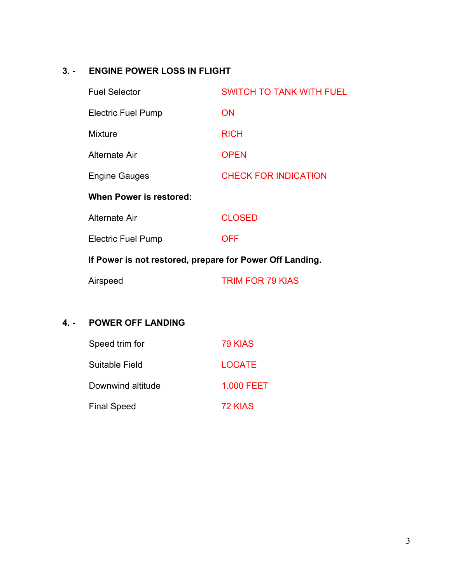# **3. ENGINE POWER LOSS IN FLIGHT**

| <b>Fuel Selector</b>                                     | <b>SWITCH TO TANK WITH FUEL</b> |  |
|----------------------------------------------------------|---------------------------------|--|
| <b>Electric Fuel Pump</b>                                | <b>ON</b>                       |  |
| <b>Mixture</b>                                           | <b>RICH</b>                     |  |
| Alternate Air                                            | <b>OPEN</b>                     |  |
| <b>Engine Gauges</b>                                     | <b>CHECK FOR INDICATION</b>     |  |
| When Power is restored:                                  |                                 |  |
| Alternate Air                                            | <b>CLOSED</b>                   |  |
| Electric Fuel Pump                                       | <b>OFF</b>                      |  |
| If Power is not restored, prepare for Power Off Landing. |                                 |  |
| Airspeed                                                 | <b>TRIM FOR 79 KIAS</b>         |  |

# **4. POWER OFF LANDING**

| Speed trim for     | 79 KIAS    |
|--------------------|------------|
| Suitable Field     | LOCATE     |
| Downwind altitude  | 1.000 FEET |
| <b>Final Speed</b> | 72 KIAS    |